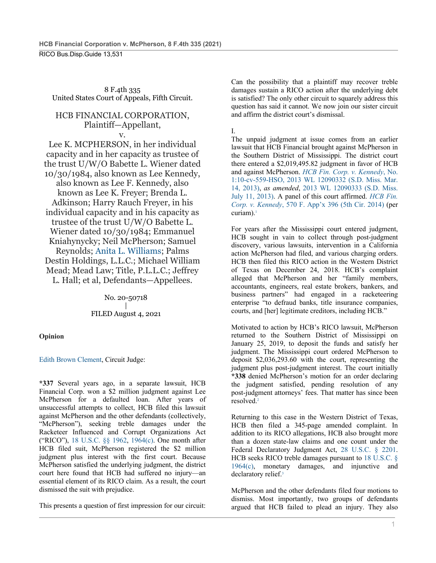8 F.4th 335 United States Court of Appeals, Fifth Circuit.

### HCB FINANCIAL CORPORATION, Plaintiff—Appellant, v.

Lee K. MCPHERSON, in her individual capacity and in her capacity as trustee of the trust U/W/O Babette L. Wiener dated 10/30/1984, also known as Lee Kennedy, also known as Lee F. Kennedy, also known as Lee K. Freyer; Brenda L. Adkinson; Harry Rauch Freyer, in his individual capacity and in his capacity as trustee of the trust U/W/O Babette L. Wiener dated 10/30/1984; Emmanuel Kniahynycky; Neil McPherson; Samuel Reynolds; Anita L. Williams; Palms Destin Holdings, L.L.C.; Michael William Mead; Mead Law; Title, P.L.L.C.; Jeffrey L. Hall; et al, Defendants—Appellees.

> No. 20-50718 | FILED August 4, 2021

# **Opinion**

## Edith Brown Clement, Circuit Judge:

**\*337** Several years ago, in a separate lawsuit, HCB Financial Corp. won a \$2 million judgment against Lee McPherson for a defaulted loan. After years of unsuccessful attempts to collect, HCB filed this lawsuit against McPherson and the other defendants (collectively, "McPherson"), seeking treble damages under the Racketeer Influenced and Corrupt Organizations Act ("RICO"), 18 U.S.C. §§ 1962, 1964(c). One month after HCB filed suit, McPherson registered the \$2 million judgment plus interest with the first court. Because McPherson satisfied the underlying judgment, the district court here found that HCB had suffered no injury—an essential element of its RICO claim. As a result, the court dismissed the suit with prejudice.

This presents a question of first impression for our circuit:

Can the possibility that a plaintiff may recover treble damages sustain a RICO action after the underlying debt is satisfied? The only other circuit to squarely address this question has said it cannot. We now join our sister circuit and affirm the district court's dismissal.

# I.

The unpaid judgment at issue comes from an earlier lawsuit that HCB Financial brought against McPherson in the Southern District of Mississippi. The district court there entered a \$2,019,495.82 judgment in favor of HCB and against McPherson. *HCB Fin. Corp. v. Kennedy*, No. 1:10-cv-559-HSO, 2013 WL 12090332 (S.D. Miss. Mar. 14, 2013), *as amended*, 2013 WL 12090333 (S.D. Miss. July 11, 2013). A panel of this court affirmed. *HCB Fin. Corp. v. Kennedy*, 570 F. App'x 396 (5th Cir. 2014) (per curiam).<sup>1</sup>

For years after the Mississippi court entered judgment, HCB sought in vain to collect through post-judgment discovery, various lawsuits, intervention in a California action McPherson had filed, and various charging orders. HCB then filed this RICO action in the Western District of Texas on December 24, 2018. HCB's complaint alleged that McPherson and her "family members, accountants, engineers, real estate brokers, bankers, and business partners" had engaged in a racketeering enterprise "to defraud banks, title insurance companies, courts, and [her] legitimate creditors, including HCB."

Motivated to action by HCB's RICO lawsuit, McPherson returned to the Southern District of Mississippi on January 25, 2019, to deposit the funds and satisfy her judgment. The Mississippi court ordered McPherson to deposit \$2,036,293.60 with the court, representing the judgment plus post-judgment interest. The court initially **\*338** denied McPherson's motion for an order declaring the judgment satisfied, pending resolution of any post-judgment attorneys' fees. That matter has since been resolved.2

Returning to this case in the Western District of Texas, HCB then filed a 345-page amended complaint. In addition to its RICO allegations, HCB also brought more than a dozen state-law claims and one count under the Federal Declaratory Judgment Act, 28 U.S.C. § 2201. HCB seeks RICO treble damages pursuant to 18 U.S.C. § 1964(c), monetary damages, and injunctive and declaratory relief.<sup>3</sup>

McPherson and the other defendants filed four motions to dismiss. Most importantly, two groups of defendants argued that HCB failed to plead an injury. They also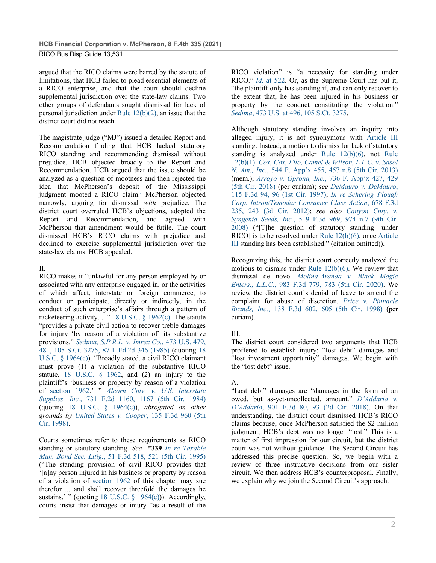argued that the RICO claims were barred by the statute of limitations, that HCB failed to plead essential elements of a RICO enterprise, and that the court should decline supplemental jurisdiction over the state-law claims. Two other groups of defendants sought dismissal for lack of personal jurisdiction under Rule 12(b)(2), an issue that the district court did not reach.

The magistrate judge ("MJ") issued a detailed Report and Recommendation finding that HCB lacked statutory RICO standing and recommending dismissal without prejudice. HCB objected broadly to the Report and Recommendation. HCB argued that the issue should be analyzed as a question of mootness and then rejected the idea that McPherson's deposit of the Mississippi judgment mooted a RICO claim.4 McPherson objected narrowly, arguing for dismissal *with* prejudice. The district court overruled HCB's objections, adopted the Report and Recommendation, and agreed with McPherson that amendment would be futile. The court dismissed HCB's RICO claims with prejudice and declined to exercise supplemental jurisdiction over the state-law claims. HCB appealed.

### II.

RICO makes it "unlawful for any person employed by or associated with any enterprise engaged in, or the activities of which affect, interstate or foreign commerce, to conduct or participate, directly or indirectly, in the conduct of such enterprise's affairs through a pattern of racketeering activity. ..." 18 U.S.C. § 1962(c). The statute "provides a private civil action to recover treble damages for injury 'by reason of a violation of' its substantive provisions." *Sedima, S.P.R.L. v. Imrex Co.*, 473 U.S. 479, 481, 105 S.Ct. 3275, 87 L.Ed.2d 346 (1985) (quoting 18 U.S.C. § 1964(c)). "Broadly stated, a civil RICO claimant must prove (1) a violation of the substantive RICO statute, 18 U.S.C. § 1962, and (2) an injury to the plaintiff's 'business or property by reason of a violation of section 1962.' " *Alcorn Cnty. v. U.S. Interstate Supplies, Inc.*, 731 F.2d 1160, 1167 (5th Cir. 1984) (quoting 18 U.S.C. § 1964(c)), *abrogated on other grounds by United States v. Cooper*, 135 F.3d 960 (5th Cir. 1998).

Courts sometimes refer to these requirements as RICO standing or statutory standing. *See* **\*339** *In re Taxable Mun. Bond Sec. Litig.*, 51 F.3d 518, 521 (5th Cir. 1995) ("The standing provision of civil RICO provides that '[a]ny person injured in his business or property by reason of a violation of section 1962 of this chapter may sue therefor ... and shall recover threefold the damages he sustains.' " (quoting 18 U.S.C.  $\S$  1964(c))). Accordingly, courts insist that damages or injury "as a result of the

RICO violation" is "a necessity for standing under RICO." *Id.* at 522. Or, as the Supreme Court has put it, "the plaintiff only has standing if, and can only recover to the extent that, he has been injured in his business or property by the conduct constituting the violation." *Sedima*, 473 U.S. at 496, 105 S.Ct. 3275.

Although statutory standing involves an inquiry into alleged injury, it is not synonymous with Article III standing. Instead, a motion to dismiss for lack of statutory standing is analyzed under Rule 12(b)(6), not Rule 12(b)(1). *Cox, Cox, Filo, Camel & Wilson, L.L.C. v. Sasol N. Am., Inc.*, 544 F. App'x 455, 457 n.8 (5th Cir. 2013) (mem.); *Arroyo v. Oprona, Inc.*, 736 F. App'x 427, 429 (5th Cir. 2018) (per curiam); *see DeMauro v. DeMauro*, 115 F.3d 94, 96 (1st Cir. 1997); *In re Schering–Plough Corp. Intron/Temodar Consumer Class Action*, 678 F.3d 235, 243 (3d Cir. 2012); *see also Canyon Cnty. v. Syngenta Seeds, Inc.*, 519 F.3d 969, 974 n.7 (9th Cir. 2008) ("[T]he question of statutory standing [under RICO] is to be resolved under Rule 12(b)(6), once Article III standing has been established." (citation omitted)).

Recognizing this, the district court correctly analyzed the motions to dismiss under Rule 12(b)(6). We review that dismissal de novo. *Molina-Aranda v. Black Magic Enters., L.L.C.*, 983 F.3d 779, 783 (5th Cir. 2020). We review the district court's denial of leave to amend the complaint for abuse of discretion. *Price v. Pinnacle Brands, Inc.*, 138 F.3d 602, 605 (5th Cir. 1998) (per curiam).

## III.

The district court considered two arguments that HCB proffered to establish injury: "lost debt" damages and "lost investment opportunity" damages. We begin with the "lost debt" issue.

#### A.

"Lost debt" damages are "damages in the form of an owed, but as-yet-uncollected, amount." *D'Addario v. D'Addario*, 901 F.3d 80, 93 (2d Cir. 2018). On that understanding, the district court dismissed HCB's RICO claims because, once McPherson satisfied the \$2 million judgment, HCB's debt was no longer "lost." This is a matter of first impression for our circuit, but the district court was not without guidance. The Second Circuit has addressed this precise question. So, we begin with a review of three instructive decisions from our sister circuit. We then address HCB's counterproposal. Finally, we explain why we join the Second Circuit's approach.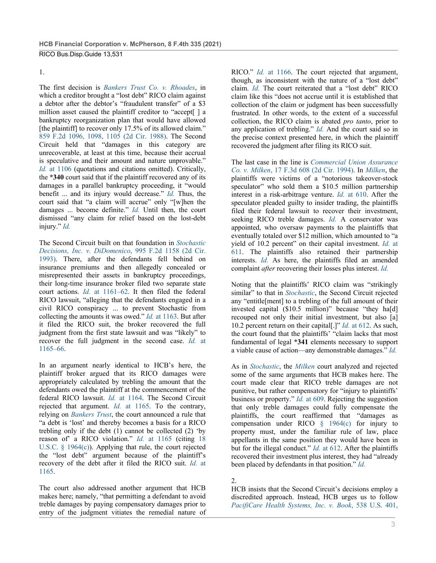#### 1.

The first decision is *Bankers Trust Co. v. Rhoades*, in which a creditor brought a "lost debt" RICO claim against a debtor after the debtor's "fraudulent transfer" of a \$3 million asset caused the plaintiff creditor to "accept[ ] a bankruptcy reorganization plan that would have allowed [the plaintiff] to recover only 17.5% of its allowed claim." 859 F.2d 1096, 1098, 1105 (2d Cir. 1988). The Second Circuit held that "damages in this category are unrecoverable, at least at this time, because their accrual is speculative and their amount and nature unprovable." *Id.* at 1106 (quotations and citations omitted). Critically, the **\*340** court said that if the plaintiff recovered any of its damages in a parallel bankruptcy proceeding, it "would benefit ... and its injury would decrease." *Id.* Thus, the court said that "a claim will accrue" only "[w]hen the damages ... become definite." *Id.* Until then, the court dismissed "any claim for relief based on the lost-debt injury." *Id.*

The Second Circuit built on that foundation in *Stochastic Decisions, Inc. v. DiDomenico*, 995 F.2d 1158 (2d Cir. 1993). There, after the defendants fell behind on insurance premiums and then allegedly concealed or misrepresented their assets in bankruptcy proceedings, their long-time insurance broker filed two separate state court actions. *Id.* at 1161–62. It then filed the federal RICO lawsuit, "alleging that the defendants engaged in a civil RICO conspiracy ... to prevent Stochastic from collecting the amounts it was owed." *Id.* at 1163. But after it filed the RICO suit, the broker recovered the full judgment from the first state lawsuit and was "likely" to recover the full judgment in the second case. *Id.* at 1165–66.

In an argument nearly identical to HCB's here, the plaintiff broker argued that its RICO damages were appropriately calculated by trebling the amount that the defendants owed the plaintiff at the commencement of the federal RICO lawsuit. *Id.* at 1164. The Second Circuit rejected that argument. *Id.* at 1165. To the contrary, relying on *Bankers Trust*, the court announced a rule that "a debt is 'lost' and thereby becomes a basis for a RICO trebling only if the debt (1) cannot be collected (2) 'by reason of a RICO violation." *Id.* at 1165 (citing 18 U.S.C. § 1964(c)). Applying that rule, the court rejected the "lost debt" argument because of the plaintiff's recovery of the debt after it filed the RICO suit. *Id.* at 1165.

The court also addressed another argument that HCB makes here; namely, "that permitting a defendant to avoid treble damages by paying compensatory damages prior to entry of the judgment vitiates the remedial nature of RICO." *Id.* at 1166. The court rejected that argument, though, as inconsistent with the nature of a "lost debt" claim. *Id.* The court reiterated that a "lost debt" RICO claim like this "does not accrue until it is established that collection of the claim or judgment has been successfully frustrated. In other words, to the extent of a successful collection, the RICO claim is abated *pro tanto*, prior to any application of trebling." *Id.* And the court said so in the precise context presented here, in which the plaintiff recovered the judgment after filing its RICO suit.

The last case in the line is *Commercial Union Assurance Co. v. Milken*, 17 F.3d 608 (2d Cir. 1994). In *Milken*, the plaintiffs were victims of a "notorious takeover-stock speculator" who sold them a \$10.5 million partnership interest in a risk-arbitrage venture. *Id.* at 610. After the speculator pleaded guilty to insider trading, the plaintiffs filed their federal lawsuit to recover their investment, seeking RICO treble damages. *Id.* A conservator was appointed, who oversaw payments to the plaintiffs that eventually totaled over \$12 million, which amounted to "a yield of 10.2 percent" on their capital investment. *Id.* at 611. The plaintiffs also retained their partnership interests. *Id.* As here, the plaintiffs filed an amended complaint *after* recovering their losses plus interest. *Id.*

Noting that the plaintiffs' RICO claim was "strikingly similar" to that in *Stochastic*, the Second Circuit rejected any "entitle[ment] to a trebling of the full amount of their invested capital (\$10.5 million)" because "they ha[d] recouped not only their initial investment, but also [a] 10.2 percent return on their capital[.]" *Id.* at 612. As such, the court found that the plaintiffs' "claim lacks that most fundamental of legal **\*341** elements necessary to support a viable cause of action—any demonstrable damages." *Id.*

As in *Stochastic*, the *Milken* court analyzed and rejected some of the same arguments that HCB makes here. The court made clear that RICO treble damages are not punitive, but rather compensatory for "injury to plaintiffs' business or property." *Id.* at 609. Rejecting the suggestion that only treble damages could fully compensate the plaintiffs, the court reaffirmed that "damages as compensation under RICO § 1964(c) for injury to property must, under the familiar rule of law, place appellants in the same position they would have been in but for the illegal conduct." *Id.* at 612. After the plaintiffs recovered their investment plus interest, they had "already been placed by defendants in that position." *Id.*

## 2.

HCB insists that the Second Circuit's decisions employ a discredited approach. Instead, HCB urges us to follow *PacifiCare Health Systems, Inc. v. Book*, 538 U.S. 401,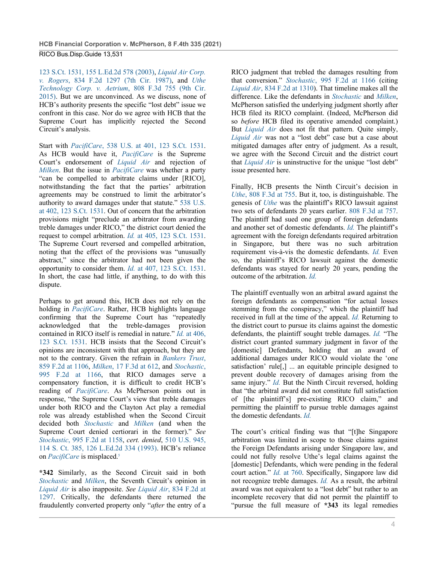123 S.Ct. 1531, 155 L.Ed.2d 578 (2003), *Liquid Air Corp. v. Rogers*, 834 F.2d 1297 (7th Cir. 1987), and *Uthe Technology Corp. v. Aetrium*, 808 F.3d 755 (9th Cir. 2015). But we are unconvinced. As we discuss, none of HCB's authority presents the specific "lost debt" issue we confront in this case. Nor do we agree with HCB that the Supreme Court has implicitly rejected the Second Circuit's analysis.

Start with *PacifiCare*, 538 U.S. at 401, 123 S.Ct. 1531. As HCB would have it, *PacifiCare* is the Supreme Court's endorsement of *Liquid Air* and rejection of *Milken*. But the issue in *PacifiCare* was whether a party "can be compelled to arbitrate claims under [RICO], notwithstanding the fact that the parties' arbitration agreements may be construed to limit the arbitrator's authority to award damages under that statute." 538 U.S. at 402, 123 S.Ct. 1531. Out of concern that the arbitration provisions might "preclude an arbitrator from awarding treble damages under RICO," the district court denied the request to compel arbitration. *Id.* at 405, 123 S.Ct. 1531. The Supreme Court reversed and compelled arbitration, noting that the effect of the provisions was "unusually abstract," since the arbitrator had not been given the opportunity to consider them. *Id.* at 407, 123 S.Ct. 1531. In short, the case had little, if anything, to do with this dispute.

Perhaps to get around this, HCB does not rely on the holding in *PacifiCare*. Rather, HCB highlights language confirming that the Supreme Court has "repeatedly acknowledged that the treble-damages provision contained in RICO itself is remedial in nature." *Id.* at 406, 123 S.Ct. 1531. HCB insists that the Second Circuit's opinions are inconsistent with that approach, but they are not to the contrary. Given the refrain in *Bankers Trust*, 859 F.2d at 1106, *Milken*, 17 F.3d at 612, and *Stochastic*, 995 F.2d at 1166, that RICO damages serve a compensatory function, it is difficult to credit HCB's reading of *PacifiCare*. As McPherson points out in response, "the Supreme Court's view that treble damages under both RICO and the Clayton Act play a remedial role was already established when the Second Circuit decided both *Stochastic* and *Milken* (and when the Supreme Court denied certiorari in the former)." *See Stochastic*, 995 F.2d at 1158, *cert. denied*, 510 U.S. 945, 114 S. Ct. 385, 126 L.Ed.2d 334 (1993). HCB's reliance on *PacifiCare* is misplaced.5

**\*342** Similarly, as the Second Circuit said in both *Stochastic* and *Milken*, the Seventh Circuit's opinion in *Liquid Air* is also inapposite. *See Liquid Air*, 834 F.2d at 1297. Critically, the defendants there returned the fraudulently converted property only "*after* the entry of a RICO judgment that trebled the damages resulting from that conversion." *Stochastic*, 995 F.2d at 1166 (citing *Liquid Air*, 834 F.2d at 1310). That timeline makes all the difference. Like the defendants in *Stochastic* and *Milken*, McPherson satisfied the underlying judgment shortly after HCB filed its RICO complaint. (Indeed, McPherson did so *before* HCB filed its operative amended complaint.) But *Liquid Air* does not fit that pattern. Quite simply, *Liquid Air* was not a "lost debt" case but a case about mitigated damages after entry of judgment. As a result, we agree with the Second Circuit and the district court that *Liquid Air* is uninstructive for the unique "lost debt" issue presented here.

Finally, HCB presents the Ninth Circuit's decision in *Uthe*, 808 F.3d at 755. But it, too, is distinguishable. The genesis of *Uthe* was the plaintiff's RICO lawsuit against two sets of defendants 20 years earlier. 808 F.3d at 757. The plaintiff had sued one group of foreign defendants and another set of domestic defendants. *Id.* The plaintiff's agreement with the foreign defendants required arbitration in Singapore, but there was no such arbitration requirement vis-à-vis the domestic defendants. *Id.* Even so, the plaintiff's RICO lawsuit against the domestic defendants was stayed for nearly 20 years, pending the outcome of the arbitration. *Id.*

The plaintiff eventually won an arbitral award against the foreign defendants as compensation "for actual losses stemming from the conspiracy," which the plaintiff had received in full at the time of the appeal. *Id.* Returning to the district court to pursue its claims against the domestic defendants, the plaintiff sought treble damages. *Id.* "The district court granted summary judgment in favor of the [domestic] Defendants, holding that an award of additional damages under RICO would violate the 'one satisfaction' rule[,] ... an equitable principle designed to prevent double recovery of damages arising from the same injury." *Id.* But the Ninth Circuit reversed, holding that "the arbitral award did not constitute full satisfaction of [the plaintiff's] pre-existing RICO claim," and permitting the plaintiff to pursue treble damages against the domestic defendants. *Id.*

The court's critical finding was that "[t]he Singapore arbitration was limited in scope to those claims against the Foreign Defendants arising under Singapore law, and could not fully resolve Uthe's legal claims against the [domestic] Defendants, which were pending in the federal court action." *Id.* at 760. Specifically, Singapore law did not recognize treble damages. *Id.* As a result, the arbitral award was not equivalent to a "lost debt" but rather to an incomplete recovery that did not permit the plaintiff to "pursue the full measure of **\*343** its legal remedies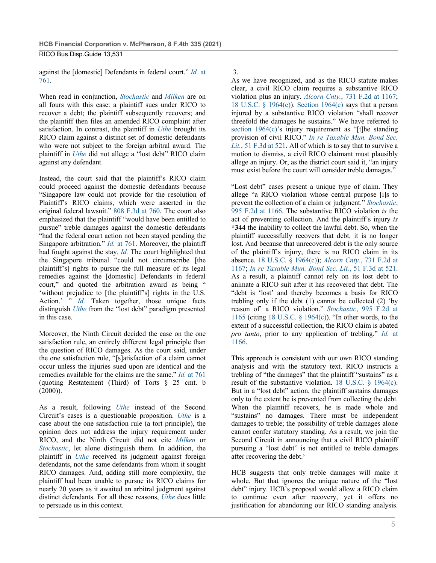against the [domestic] Defendants in federal court." *Id.* at 761.

When read in conjunction, *Stochastic* and *Milken* are on all fours with this case: a plaintiff sues under RICO to recover a debt; the plaintiff subsequently recovers; and the plaintiff then files an amended RICO complaint after satisfaction. In contrast, the plaintiff in *Uthe* brought its RICO claim against a distinct set of domestic defendants who were not subject to the foreign arbitral award. The plaintiff in *Uthe* did not allege a "lost debt" RICO claim against any defendant.

Instead, the court said that the plaintiff's RICO claim could proceed against the domestic defendants because "Singapore law could not provide for the resolution of Plaintiff's RICO claims, which were asserted in the original federal lawsuit." 808 F.3d at 760. The court also emphasized that the plaintiff "would have been entitled to pursue" treble damages against the domestic defendants "had the federal court action not been stayed pending the Singapore arbitration." *Id.* at 761. Moreover, the plaintiff had fought against the stay. *Id.* The court highlighted that the Singapore tribunal "could not circumscribe [the plaintiff's] rights to pursue the full measure of its legal remedies against the [domestic] Defendants in federal court," and quoted the arbitration award as being " 'without prejudice to [the plaintiff's] rights in the U.S. Action.' " *Id.* Taken together, those unique facts distinguish *Uthe* from the "lost debt" paradigm presented in this case.

Moreover, the Ninth Circuit decided the case on the one satisfaction rule, an entirely different legal principle than the question of RICO damages. As the court said, under the one satisfaction rule, "[s]atisfaction of a claim cannot occur unless the injuries sued upon are identical and the remedies available for the claims are the same." *Id.* at 761 (quoting Restatement (Third) of Torts § 25 cmt. b  $(2000)$ ).

As a result, following *Uthe* instead of the Second Circuit's cases is a questionable proposition. *Uthe* is a case about the one satisfaction rule (a tort principle), the opinion does not address the injury requirement under RICO, and the Ninth Circuit did not cite *Milken* or *Stochastic*, let alone distinguish them. In addition, the plaintiff in *Uthe* received its judgment against foreign defendants, not the same defendants from whom it sought RICO damages. And, adding still more complexity, the plaintiff had been unable to pursue its RICO claims for nearly 20 years as it awaited an arbitral judgment against distinct defendants. For all these reasons, *Uthe* does little to persuade us in this context.

3.

As we have recognized, and as the RICO statute makes clear, a civil RICO claim requires a substantive RICO violation plus an injury. *Alcorn Cnty.*, 731 F.2d at 1167; 18 U.S.C. § 1964(c)). Section 1964(c) says that a person injured by a substantive RICO violation "shall recover threefold the damages he sustains." We have referred to section 1964(c)'s injury requirement as "[t]he standing provision of civil RICO." *In re Taxable Mun. Bond Sec. Lit.*, 51 F.3d at 521. All of which is to say that to survive a motion to dismiss, a civil RICO claimant must plausibly allege an injury. Or, as the district court said it, "an injury must exist before the court will consider treble damages."

"Lost debt" cases present a unique type of claim. They allege "a RICO violation whose central purpose [i]s to prevent the collection of a claim or judgment." *Stochastic*, 995 F.2d at 1166. The substantive RICO violation *is* the act of preventing collection. And the plaintiff's injury *is* **\*344** the inability to collect the lawful debt. So, when the plaintiff successfully recovers that debt, it is no longer lost. And because that unrecovered debt is the only source of the plaintiff's injury, there is no RICO claim in its absence. 18 U.S.C. § 1964(c)); *Alcorn Cnty.*, 731 F.2d at 1167; *In re Taxable Mun. Bond Sec. Lit.*, 51 F.3d at 521. As a result, a plaintiff cannot rely on its lost debt to animate a RICO suit after it has recovered that debt. The "debt is 'lost' and thereby becomes a basis for RICO trebling only if the debt (1) cannot be collected (2) 'by reason of' a RICO violation." *Stochastic*, 995 F.2d at 1165 (citing 18 U.S.C. § 1964(c)). "In other words, to the extent of a successful collection, the RICO claim is abated *pro tanto*, prior to any application of trebling." *Id.* at 1166.

This approach is consistent with our own RICO standing analysis and with the statutory text. RICO instructs a trebling of "the damages" that the plaintiff "sustains" as a result of the substantive violation. 18 U.S.C. § 1964(c). But in a "lost debt" action, the plaintiff sustains damages only to the extent he is prevented from collecting the debt. When the plaintiff recovers, he is made whole and "sustains" no damages. There must be independent damages to treble; the possibility of treble damages alone cannot confer statutory standing. As a result, we join the Second Circuit in announcing that a civil RICO plaintiff pursuing a "lost debt" is not entitled to treble damages after recovering the debt.<sup>6</sup>

HCB suggests that only treble damages will make it whole. But that ignores the unique nature of the "lost debt" injury. HCB's proposal would allow a RICO claim to continue even after recovery, yet it offers no justification for abandoning our RICO standing analysis.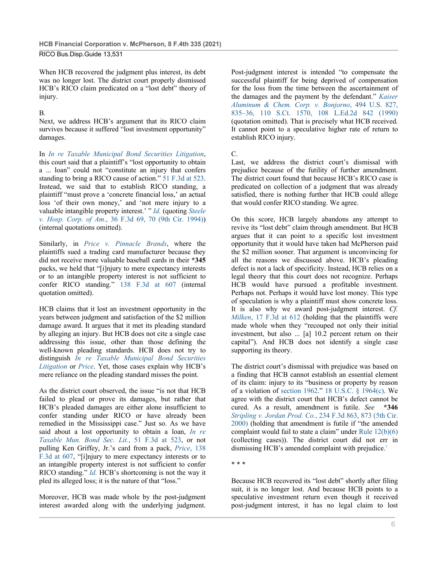When HCB recovered the judgment plus interest, its debt was no longer lost. The district court properly dismissed HCB's RICO claim predicated on a "lost debt" theory of injury.

### B.

Next, we address HCB's argument that its RICO claim survives because it suffered "lost investment opportunity" damages.

In *In re Taxable Municipal Bond Securities Litigation*, this court said that a plaintiff's "lost opportunity to obtain a ... loan" could not "constitute an injury that confers standing to bring a RICO cause of action." 51 F.3d at 523. Instead, we said that to establish RICO standing, a plaintiff "must prove a 'concrete financial loss,' an actual loss 'of their own money,' and 'not mere injury to a valuable intangible property interest.' " *Id.* (quoting *Steele v. Hosp. Corp. of Am.*, 36 F.3d 69, 70 (9th Cir. 1994)) (internal quotations omitted).

Similarly, in *Price v. Pinnacle Brands*, where the plaintiffs sued a trading card manufacturer because they did not receive more valuable baseball cards in their **\*345** packs, we held that "[i]njury to mere expectancy interests or to an intangible property interest is not sufficient to confer RICO standing." 138 F.3d at 607 (internal quotation omitted).

HCB claims that it lost an investment opportunity in the years between judgment and satisfaction of the \$2 million damage award. It argues that it met its pleading standard by alleging an injury. But HCB does not cite a single case addressing this issue, other than those defining the well-known pleading standards. HCB does not try to distinguish *In re Taxable Municipal Bond Securities Litigation* or *Price*. Yet, those cases explain why HCB's mere reliance on the pleading standard misses the point.

As the district court observed, the issue "is not that HCB failed to plead or prove its damages, but rather that HCB's pleaded damages are either alone insufficient to confer standing under RICO or have already been remedied in the Mississippi case." Just so. As we have said about a lost opportunity to obtain a loan, *In re Taxable Mun. Bond Sec. Lit.*, 51 F.3d at 523, or not pulling Ken Griffey, Jr.'s card from a pack, *Price*, 138 F.3d at 607, "[i]njury to mere expectancy interests or to an intangible property interest is not sufficient to confer RICO standing." *Id.* HCB's shortcoming is not the way it pled its alleged loss; it is the nature of that "loss."

Moreover, HCB was made whole by the post-judgment interest awarded along with the underlying judgment.

Post-judgment interest is intended "to compensate the successful plaintiff for being deprived of compensation for the loss from the time between the ascertainment of the damages and the payment by the defendant." *Kaiser Aluminum & Chem. Corp. v. Bonjorno*, 494 U.S. 827, 835–36, 110 S.Ct. 1570, 108 L.Ed.2d 842 (1990) (quotation omitted). That is precisely what HCB received. It cannot point to a speculative higher rate of return to establish RICO injury.

#### C.

Last, we address the district court's dismissal with prejudice because of the futility of further amendment. The district court found that because HCB's RICO case is predicated on collection of a judgment that was already satisfied, there is nothing further that HCB could allege that would confer RICO standing. We agree.

On this score, HCB largely abandons any attempt to revive its "lost debt" claim through amendment. But HCB argues that it can point to a specific lost investment opportunity that it would have taken had McPherson paid the \$2 million sooner. That argument is unconvincing for all the reasons we discussed above. HCB's pleading defect is not a lack of specificity. Instead, HCB relies on a legal theory that this court does not recognize. Perhaps HCB would have pursued a profitable investment. Perhaps not. Perhaps it would have lost money. This type of speculation is why a plaintiff must show concrete loss. It is also why we award post-judgment interest. *Cf. Milken*, 17 F.3d at 612 (holding that the plaintiffs were made whole when they "recouped not only their initial investment, but also ... [a] 10.2 percent return on their capital"). And HCB does not identify a single case supporting its theory.

The district court's dismissal with prejudice was based on a finding that HCB cannot establish an essential element of its claim: injury to its "business or property by reason of a violation of section 1962." 18 U.S.C. § 1964(c). We agree with the district court that HCB's defect cannot be cured. As a result, amendment is futile. *See* **\*346** *Stripling v. Jordan Prod. Co.*, 234 F.3d 863, 873 (5th Cir. 2000) (holding that amendment is futile if "the amended complaint would fail to state a claim" under Rule 12(b)(6) (collecting cases)). The district court did not err in dismissing HCB's amended complaint with prejudice.7

\* \* \*

Because HCB recovered its "lost debt" shortly after filing suit, it is no longer lost. And because HCB points to a speculative investment return even though it received post-judgment interest, it has no legal claim to lost